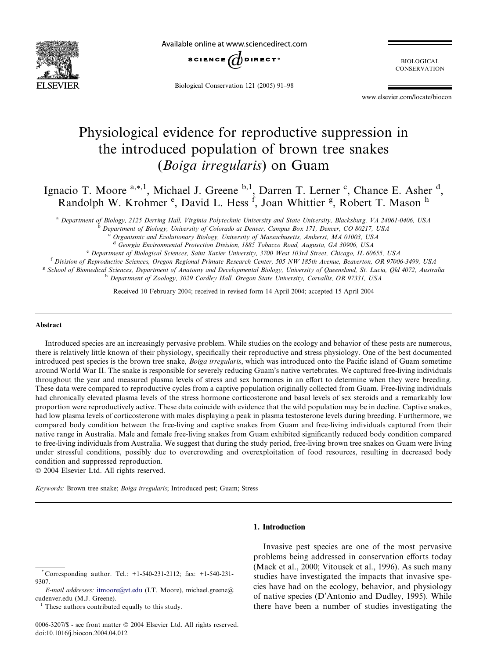

Available online at www.sciencedirect.com



Biological Conservation 121 (2005) 91–98

BIOLOGICAL **CONSERVATION** 

www.elsevier.com/locate/biocon

# Physiological evidence for reproductive suppression in the introduced population of brown tree snakes (Boiga irregularis) on Guam

Ignacio T. Moore <sup>a,\*,1</sup>, Michael J. Greene <sup>b,1</sup>, Darren T. Lerner <sup>c</sup>, Chance E. Asher <sup>d</sup>, Randolph W. Krohmer <sup>e</sup>, David L. Hess <sup>f</sup>, Joan Whittier <sup>g</sup>, Robert T. Mason <sup>h</sup>

<sup>a</sup> Department of Biology, 2125 Derring Hall, Virginia Polytechnic University and State University, Blacksburg, VA 24061-0406, USA

<sup>b</sup> Department of Biology, University of Colorado at Denver, Campus Box 171, Denver, CO 80217, USA

Organismic and Evolutionary Biology, University of Massachusetts, Amherst, MA 01003, USA

<sup>d</sup> Georgia Environmental Protection Division, 1885 Tobacco Road, Augusta, GA 30906, USA

<sup>e</sup> Department of Biological Sciences, Saint Xavier University, 3700 West 103rd Street, Chicago, IL 60655, USA

<sup>f</sup> Division of Reproductive Sciences, Oregon Regional Primate Research Center, 505 NW 185th Avenue, Beaverton, OR 97006-3499, USA

<sup>g</sup> School of Biomedical Sciences, Department of Anatomy and Developmental Biology, University of Oueensland, St. Lucia, Old 4072, Australia h Department of Zoology, 3029 Cordley Hall, Oregon State University, Corvallis, OR 97331, USA

Received 10 February 2004; received in revised form 14 April 2004; accepted 15 April 2004

#### Abstract

Introduced species are an increasingly pervasive problem. While studies on the ecology and behavior of these pests are numerous, there is relatively little known of their physiology, specifically their reproductive and stress physiology. One of the best documented introduced pest species is the brown tree snake, Boiga irregularis, which was introduced onto the Pacific island of Guam sometime around World War II. The snake is responsible for severely reducing Guam's native vertebrates. We captured free-living individuals throughout the year and measured plasma levels of stress and sex hormones in an effort to determine when they were breeding. These data were compared to reproductive cycles from a captive population originally collected from Guam. Free-living individuals had chronically elevated plasma levels of the stress hormone corticosterone and basal levels of sex steroids and a remarkably low proportion were reproductively active. These data coincide with evidence that the wild population may be in decline. Captive snakes, had low plasma levels of corticosterone with males displaying a peak in plasma testosterone levels during breeding. Furthermore, we compared body condition between the free-living and captive snakes from Guam and free-living individuals captured from their native range in Australia. Male and female free-living snakes from Guam exhibited significantly reduced body condition compared to free-living individuals from Australia. We suggest that during the study period, free-living brown tree snakes on Guam were living under stressful conditions, possibly due to overcrowding and overexploitation of food resources, resulting in decreased body condition and suppressed reproduction.

2004 Elsevier Ltd. All rights reserved.

Keywords: Brown tree snake; Boiga irregularis; Introduced pest; Guam; Stress

# 1. Introduction

<sup>1</sup> These authors contributed equally to this study.

0006-3207/\$ - see front matter  $\odot$  2004 Elsevier Ltd. All rights reserved. doi:10.1016/j.biocon.2004.04.012

Invasive pest species are one of the most pervasive problems being addressed in conservation efforts today (Mack et al., 2000; Vitousek et al., 1996). As such many studies have investigated the impacts that invasive species have had on the ecology, behavior, and physiology of native species (D'Antonio and Dudley, 1995). While there have been a number of studies investigating the

<sup>\*</sup> Corresponding author. Tel.: +1-540-231-2112; fax: +1-540-231- 9307.

E-mail addresses: [itmoore@vt.edu](mail to: itmoore@vt.edu) (I.T. Moore), michael.greene@ cudenver.edu (M.J. Greene).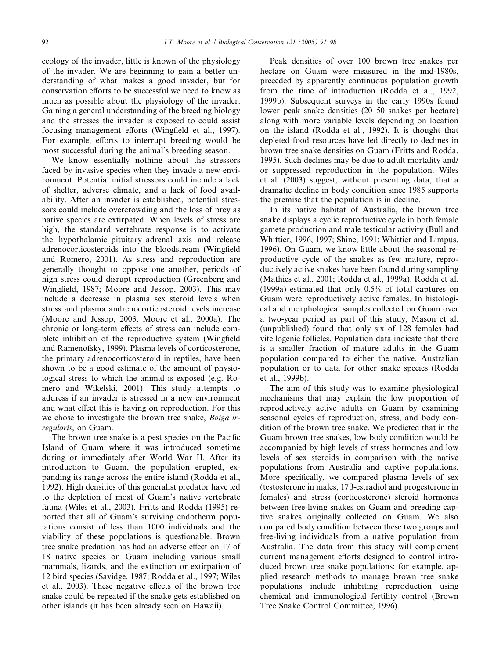ecology of the invader, little is known of the physiology of the invader. We are beginning to gain a better understanding of what makes a good invader, but for conservation efforts to be successful we need to know as much as possible about the physiology of the invader. Gaining a general understanding of the breeding biology and the stresses the invader is exposed to could assist focusing management efforts (Wingfield et al., 1997). For example, efforts to interrupt breeding would be most successful during the animal's breeding season.

We know essentially nothing about the stressors faced by invasive species when they invade a new environment. Potential initial stressors could include a lack of shelter, adverse climate, and a lack of food availability. After an invader is established, potential stressors could include overcrowding and the loss of prey as native species are extirpated. When levels of stress are high, the standard vertebrate response is to activate the hypothalamic–pituitary–adrenal axis and release adrenocorticosteroids into the bloodstream (Wingfield and Romero, 2001). As stress and reproduction are generally thought to oppose one another, periods of high stress could disrupt reproduction (Greenberg and Wingfield, 1987; Moore and Jessop, 2003). This may include a decrease in plasma sex steroid levels when stress and plasma andrenocorticosteroid levels increase (Moore and Jessop, 2003; Moore et al., 2000a). The chronic or long-term effects of stress can include complete inhibition of the reproductive system (Wingfield and Ramenofsky, 1999). Plasma levels of corticosterone, the primary adrenocorticosteroid in reptiles, have been shown to be a good estimate of the amount of physiological stress to which the animal is exposed (e.g. Romero and Wikelski, 2001). This study attempts to address if an invader is stressed in a new environment and what effect this is having on reproduction. For this we chose to investigate the brown tree snake, Boiga irregularis, on Guam.

The brown tree snake is a pest species on the Pacific Island of Guam where it was introduced sometime during or immediately after World War II. After its introduction to Guam, the population erupted, expanding its range across the entire island (Rodda et al., 1992). High densities of this generalist predator have led to the depletion of most of Guam's native vertebrate fauna (Wiles et al., 2003). Fritts and Rodda (1995) reported that all of Guam's surviving endotherm populations consist of less than 1000 individuals and the viability of these populations is questionable. Brown tree snake predation has had an adverse effect on 17 of 18 native species on Guam including various small mammals, lizards, and the extinction or extirpation of 12 bird species (Savidge, 1987; Rodda et al., 1997; Wiles et al., 2003). These negative effects of the brown tree snake could be repeated if the snake gets established on other islands (it has been already seen on Hawaii).

Peak densities of over 100 brown tree snakes per hectare on Guam were measured in the mid-1980s, preceded by apparently continuous population growth from the time of introduction (Rodda et al., 1992, 1999b). Subsequent surveys in the early 1990s found lower peak snake densities (20–50 snakes per hectare) along with more variable levels depending on location on the island (Rodda et al., 1992). It is thought that depleted food resources have led directly to declines in brown tree snake densities on Guam (Fritts and Rodda, 1995). Such declines may be due to adult mortality and/ or suppressed reproduction in the population. Wiles et al. (2003) suggest, without presenting data, that a dramatic decline in body condition since 1985 supports the premise that the population is in decline.

In its native habitat of Australia, the brown tree snake displays a cyclic reproductive cycle in both female gamete production and male testicular activity (Bull and Whittier, 1996, 1997; Shine, 1991; Whittier and Limpus, 1996). On Guam, we know little about the seasonal reproductive cycle of the snakes as few mature, reproductively active snakes have been found during sampling (Mathies et al., 2001; Rodda et al., 1999a). Rodda et al. (1999a) estimated that only 0.5% of total captures on Guam were reproductively active females. In histological and morphological samples collected on Guam over a two-year period as part of this study, Mason et al. (unpublished) found that only six of 128 females had vitellogenic follicles. Population data indicate that there is a smaller fraction of mature adults in the Guam population compared to either the native, Australian population or to data for other snake species (Rodda et al., 1999b).

The aim of this study was to examine physiological mechanisms that may explain the low proportion of reproductively active adults on Guam by examining seasonal cycles of reproduction, stress, and body condition of the brown tree snake. We predicted that in the Guam brown tree snakes, low body condition would be accompanied by high levels of stress hormones and low levels of sex steroids in comparison with the native populations from Australia and captive populations. More specifically, we compared plasma levels of sex (testosterone in males, 17b-estradiol and progesterone in females) and stress (corticosterone) steroid hormones between free-living snakes on Guam and breeding captive snakes originally collected on Guam. We also compared body condition between these two groups and free-living individuals from a native population from Australia. The data from this study will complement current management efforts designed to control introduced brown tree snake populations; for example, applied research methods to manage brown tree snake populations include inhibiting reproduction using chemical and immunological fertility control (Brown Tree Snake Control Committee, 1996).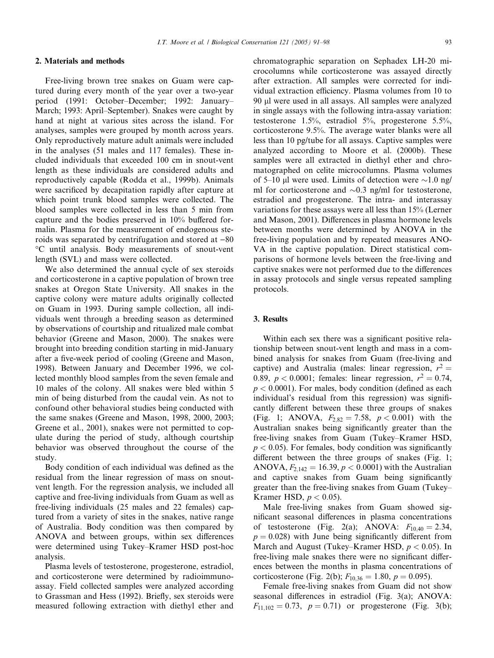#### I.T. Moore et al. / Biological Conservation 121 (2005) 91–98 93

Free-living brown tree snakes on Guam were captured during every month of the year over a two-year period (1991: October–December; 1992: January– March; 1993: April–September). Snakes were caught by hand at night at various sites across the island. For analyses, samples were grouped by month across years. Only reproductively mature adult animals were included in the analyses (51 males and 117 females). These included individuals that exceeded 100 cm in snout-vent length as these individuals are considered adults and reproductively capable (Rodda et al., 1999b). Animals were sacrificed by decapitation rapidly after capture at which point trunk blood samples were collected. The blood samples were collected in less than 5 min from capture and the bodies preserved in 10% buffered formalin. Plasma for the measurement of endogenous steroids was separated by centrifugation and stored at  $-80$ -C until analysis. Body measurements of snout-vent length (SVL) and mass were collected.

We also determined the annual cycle of sex steroids and corticosterone in a captive population of brown tree snakes at Oregon State University. All snakes in the captive colony were mature adults originally collected on Guam in 1993. During sample collection, all individuals went through a breeding season as determined by observations of courtship and ritualized male combat behavior (Greene and Mason, 2000). The snakes were brought into breeding condition starting in mid-January after a five-week period of cooling (Greene and Mason, 1998). Between January and December 1996, we collected monthly blood samples from the seven female and 10 males of the colony. All snakes were bled within 5 min of being disturbed from the caudal vein. As not to confound other behavioral studies being conducted with the same snakes (Greene and Mason, 1998, 2000, 2003; Greene et al., 2001), snakes were not permitted to copulate during the period of study, although courtship behavior was observed throughout the course of the study.

Body condition of each individual was defined as the residual from the linear regression of mass on snoutvent length. For the regression analysis, we included all captive and free-living individuals from Guam as well as free-living individuals (25 males and 22 females) captured from a variety of sites in the snakes, native range of Australia. Body condition was then compared by ANOVA and between groups, within sex differences were determined using Tukey–Kramer HSD post-hoc analysis.

Plasma levels of testosterone, progesterone, estradiol, and corticosterone were determined by radioimmunoassay. Field collected samples were analyzed according to Grassman and Hess (1992). Briefly, sex steroids were measured following extraction with diethyl ether and

chromatographic separation on Sephadex LH-20 microcolumns while corticosterone was assayed directly after extraction. All samples were corrected for individual extraction efficiency. Plasma volumes from 10 to 90 ll were used in all assays. All samples were analyzed in single assays with the following intra-assay variation: testosterone 1.5%, estradiol 5%, progesterone 5.5%, corticosterone 9.5%. The average water blanks were all less than 10 pg/tube for all assays. Captive samples were analyzed according to Moore et al. (2000b). These samples were all extracted in diethyl ether and chromatographed on celite microcolumns. Plasma volumes of 5–10 µl were used. Limits of detection were  $\sim$ 1.0 ng/ ml for corticosterone and  $\sim 0.3$  ng/ml for testosterone, estradiol and progesterone. The intra- and interassay variations for these assays were all less than 15% (Lerner and Mason, 2001). Differences in plasma hormone levels between months were determined by ANOVA in the free-living population and by repeated measures ANO-VA in the captive population. Direct statistical comparisons of hormone levels between the free-living and captive snakes were not performed due to the differences in assay protocols and single versus repeated sampling protocols.

#### 3. Results

Within each sex there was a significant positive relationship between snout-vent length and mass in a combined analysis for snakes from Guam (free-living and captive) and Australia (males: linear regression,  $r^2 =$ 0.89,  $p < 0.0001$ ; females: linear regression,  $r^2 = 0.74$ ,  $p < 0.0001$ ). For males, body condition (defined as each individual's residual from this regression) was significantly different between these three groups of snakes (Fig. 1; ANOVA,  $F_{2.82} = 7.58$ ,  $p < 0.001$ ) with the Australian snakes being significantly greater than the free-living snakes from Guam (Tukey–Kramer HSD,  $p < 0.05$ ). For females, body condition was significantly different between the three groups of snakes (Fig. 1; ANOVA,  $F_{2,142} = 16.39, p < 0.0001$ ) with the Australian and captive snakes from Guam being significantly greater than the free-living snakes from Guam (Tukey– Kramer HSD,  $p < 0.05$ ).

Male free-living snakes from Guam showed significant seasonal differences in plasma concentrations of testosterone (Fig. 2(a); ANOVA:  $F_{10,40} = 2.34$ ,  $p = 0.028$ ) with June being significantly different from March and August (Tukey–Kramer HSD,  $p < 0.05$ ). In free-living male snakes there were no significant differences between the months in plasma concentrations of corticosterone (Fig. 2(b);  $F_{10,36} = 1.80, p = 0.095$ ).

Female free-living snakes from Guam did not show seasonal differences in estradiol (Fig. 3(a); ANOVA:  $F_{11,102} = 0.73$ ,  $p = 0.71$ ) or progesterone (Fig. 3(b);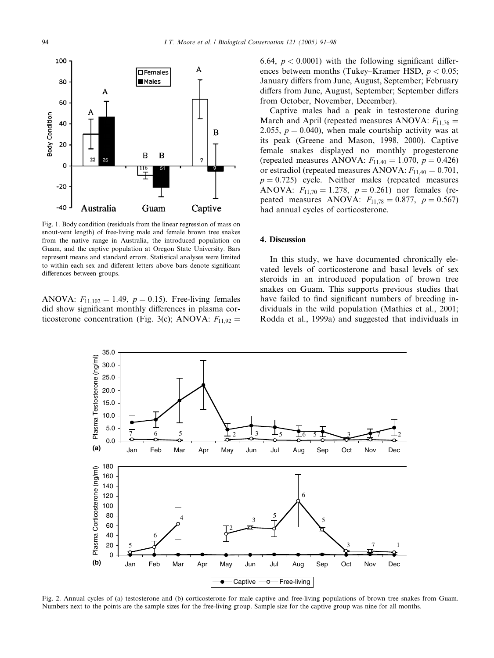

Fig. 1. Body condition (residuals from the linear regression of mass on snout-vent length) of free-living male and female brown tree snakes from the native range in Australia, the introduced population on Guam, and the captive population at Oregon State University. Bars represent means and standard errors. Statistical analyses were limited to within each sex and different letters above bars denote significant differences between groups.

ANOVA:  $F_{11,102} = 1.49$ ,  $p = 0.15$ ). Free-living females did show significant monthly differences in plasma corticosterone concentration (Fig. 3(c); ANOVA:  $F_{11.92}$  = 6.64,  $p < 0.0001$ ) with the following significant differences between months (Tukey–Kramer HSD,  $p < 0.05$ ; January differs from June, August, September; February differs from June, August, September; September differs from October, November, December).

Captive males had a peak in testosterone during March and April (repeated measures ANOVA:  $F_{11,76}$  = 2.055,  $p = 0.040$ , when male courtship activity was at its peak (Greene and Mason, 1998, 2000). Captive female snakes displayed no monthly progesterone (repeated measures ANOVA:  $F_{11,40} = 1.070$ ,  $p = 0.426$ ) or estradiol (repeated measures ANOVA:  $F_{1140} = 0.701$ ,  $p = 0.725$ ) cycle. Neither males (repeated measures ANOVA:  $F_{11,70} = 1.278$ ,  $p = 0.261$ ) nor females (repeated measures ANOVA:  $F_{11,78} = 0.877$ ,  $p = 0.567$ ) had annual cycles of corticosterone.

## 4. Discussion

In this study, we have documented chronically elevated levels of corticosterone and basal levels of sex steroids in an introduced population of brown tree snakes on Guam. This supports previous studies that have failed to find significant numbers of breeding individuals in the wild population (Mathies et al., 2001; Rodda et al., 1999a) and suggested that individuals in



Fig. 2. Annual cycles of (a) testosterone and (b) corticosterone for male captive and free-living populations of brown tree snakes from Guam. Numbers next to the points are the sample sizes for the free-living group. Sample size for the captive group was nine for all months.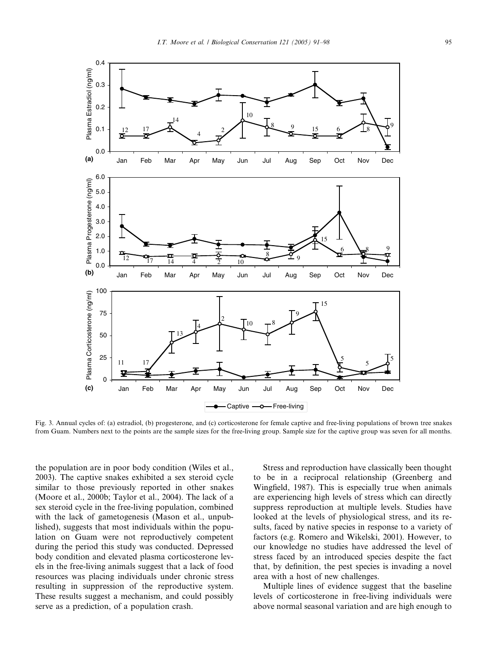

Fig. 3. Annual cycles of: (a) estradiol, (b) progesterone, and (c) corticosterone for female captive and free-living populations of brown tree snakes from Guam. Numbers next to the points are the sample sizes for the free-living group. Sample size for the captive group was seven for all months.

the population are in poor body condition (Wiles et al., 2003). The captive snakes exhibited a sex steroid cycle similar to those previously reported in other snakes (Moore et al., 2000b; Taylor et al., 2004). The lack of a sex steroid cycle in the free-living population, combined with the lack of gametogenesis (Mason et al., unpublished), suggests that most individuals within the population on Guam were not reproductively competent during the period this study was conducted. Depressed body condition and elevated plasma corticosterone levels in the free-living animals suggest that a lack of food resources was placing individuals under chronic stress resulting in suppression of the reproductive system. These results suggest a mechanism, and could possibly serve as a prediction, of a population crash.

Stress and reproduction have classically been thought to be in a reciprocal relationship (Greenberg and Wingfield, 1987). This is especially true when animals are experiencing high levels of stress which can directly suppress reproduction at multiple levels. Studies have looked at the levels of physiological stress, and its results, faced by native species in response to a variety of factors (e.g. Romero and Wikelski, 2001). However, to our knowledge no studies have addressed the level of stress faced by an introduced species despite the fact that, by definition, the pest species is invading a novel area with a host of new challenges.

Multiple lines of evidence suggest that the baseline levels of corticosterone in free-living individuals were above normal seasonal variation and are high enough to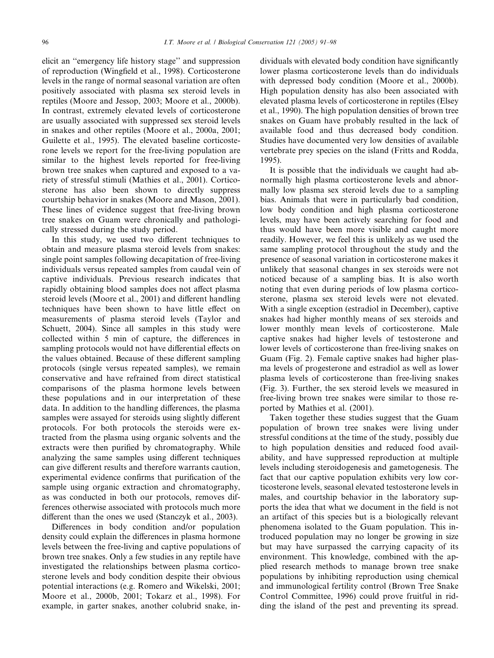elicit an ''emergency life history stage'' and suppression of reproduction (Wingfield et al., 1998). Corticosterone levels in the range of normal seasonal variation are often positively associated with plasma sex steroid levels in reptiles (Moore and Jessop, 2003; Moore et al., 2000b). In contrast, extremely elevated levels of corticosterone are usually associated with suppressed sex steroid levels in snakes and other reptiles (Moore et al., 2000a, 2001; Guilette et al., 1995). The elevated baseline corticosterone levels we report for the free-living population are similar to the highest levels reported for free-living brown tree snakes when captured and exposed to a variety of stressful stimuli (Mathies et al., 2001). Corticosterone has also been shown to directly suppress courtship behavior in snakes (Moore and Mason, 2001). These lines of evidence suggest that free-living brown tree snakes on Guam were chronically and pathologically stressed during the study period.

In this study, we used two different techniques to obtain and measure plasma steroid levels from snakes: single point samples following decapitation of free-living individuals versus repeated samples from caudal vein of captive individuals. Previous research indicates that rapidly obtaining blood samples does not affect plasma steroid levels (Moore et al., 2001) and different handling techniques have been shown to have little effect on measurements of plasma steroid levels (Taylor and Schuett, 2004). Since all samples in this study were collected within 5 min of capture, the differences in sampling protocols would not have differential effects on the values obtained. Because of these different sampling protocols (single versus repeated samples), we remain conservative and have refrained from direct statistical comparisons of the plasma hormone levels between these populations and in our interpretation of these data. In addition to the handling differences, the plasma samples were assayed for steroids using slightly different protocols. For both protocols the steroids were extracted from the plasma using organic solvents and the extracts were then purified by chromatography. While analyzing the same samples using different techniques can give different results and therefore warrants caution, experimental evidence confirms that purification of the sample using organic extraction and chromatography, as was conducted in both our protocols, removes differences otherwise associated with protocols much more different than the ones we used (Stanczyk et al., 2003).

Differences in body condition and/or population density could explain the differences in plasma hormone levels between the free-living and captive populations of brown tree snakes. Only a few studies in any reptile have investigated the relationships between plasma corticosterone levels and body condition despite their obvious potential interactions (e.g. Romero and Wikelski, 2001; Moore et al., 2000b, 2001; Tokarz et al., 1998). For example, in garter snakes, another colubrid snake, individuals with elevated body condition have significantly lower plasma corticosterone levels than do individuals with depressed body condition (Moore et al., 2000b). High population density has also been associated with elevated plasma levels of corticosterone in reptiles (Elsey et al., 1990). The high population densities of brown tree snakes on Guam have probably resulted in the lack of available food and thus decreased body condition. Studies have documented very low densities of available vertebrate prey species on the island (Fritts and Rodda, 1995).

It is possible that the individuals we caught had abnormally high plasma corticosterone levels and abnormally low plasma sex steroid levels due to a sampling bias. Animals that were in particularly bad condition, low body condition and high plasma corticosterone levels, may have been actively searching for food and thus would have been more visible and caught more readily. However, we feel this is unlikely as we used the same sampling protocol throughout the study and the presence of seasonal variation in corticosterone makes it unlikely that seasonal changes in sex steroids were not noticed because of a sampling bias. It is also worth noting that even during periods of low plasma corticosterone, plasma sex steroid levels were not elevated. With a single exception (estradiol in December), captive snakes had higher monthly means of sex steroids and lower monthly mean levels of corticosterone. Male captive snakes had higher levels of testosterone and lower levels of corticosterone than free-living snakes on Guam (Fig. 2). Female captive snakes had higher plasma levels of progesterone and estradiol as well as lower plasma levels of corticosterone than free-living snakes (Fig. 3). Further, the sex steroid levels we measured in free-living brown tree snakes were similar to those reported by Mathies et al. (2001).

Taken together these studies suggest that the Guam population of brown tree snakes were living under stressful conditions at the time of the study, possibly due to high population densities and reduced food availability, and have suppressed reproduction at multiple levels including steroidogenesis and gametogenesis. The fact that our captive population exhibits very low corticosterone levels, seasonal elevated testosterone levels in males, and courtship behavior in the laboratory supports the idea that what we document in the field is not an artifact of this species but is a biologically relevant phenomena isolated to the Guam population. This introduced population may no longer be growing in size but may have surpassed the carrying capacity of its environment. This knowledge, combined with the applied research methods to manage brown tree snake populations by inhibiting reproduction using chemical and immunological fertility control (Brown Tree Snake Control Committee, 1996) could prove fruitful in ridding the island of the pest and preventing its spread.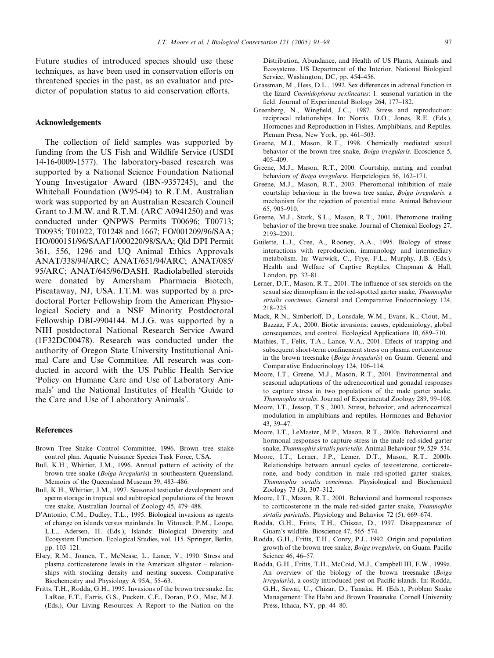Future studies of introduced species should use these techniques, as have been used in conservation efforts on threatened species in the past, as an evaluator and predictor of population status to aid conservation efforts.

## Acknowledgements

The collection of field samples was supported by funding from the US Fish and Wildlife Service (USDI 14-16-0009-1577). The laboratory-based research was supported by a National Science Foundation National Young Investigator Award (IBN-9357245), and the Whitehall Foundation (W95-04) to R.T.M. Australian work was supported by an Australian Research Council Grant to J.M.W. and R.T.M. (ARC A0941250) and was conducted under QNPWS Permits T00696; T00713; T00935; T01022, T01248 and 1667; FO/001209/96/SAA; HO/000151/96/SAAF1/000220/98/SAA; Qld DPI Permit 361, 556, 1296 and UQ Animal Ethics Approvals ANAT/338/94/ARC; ANAT/651/94/ARC; ANAT/085/ 95/ARC; ANAT/645/96/DASH. Radiolabelled steroids were donated by Amersham Pharmacia Biotech, Piscataway, NJ, USA. I.T.M. was supported by a predoctoral Porter Fellowship from the American Physiological Society and a NSF Minority Postdoctoral Fellowship DBI-9904144. M.J.G. was supported by a NIH postdoctoral National Research Service Award (1F32DC00478). Research was conducted under the authority of Oregon State University Institutional Animal Care and Use Committee. All research was conducted in accord with the US Public Health Service 'Policy on Humane Care and Use of Laboratory Animals' and the National Institutes of Health 'Guide to the Care and Use of Laboratory Animals'.

### References

- Brown Tree Snake Control Committee, 1996. Brown tree snake control plan. Aquatic Nuisance Species Task Force, USA.
- Bull, K.H., Whittier, J.M., 1996. Annual pattern of activity of the brown tree snake (Boiga irregularis) in southeastern Queensland. Memoirs of the Queensland Museum 39, 483–486.
- Bull, K.H., Whittier, J.M., 1997. Seasonal testicular development and sperm storage in tropical and subtropical populations of the brown tree snake. Australian Journal of Zoology 45, 479–488.
- D'Antonio, C.M., Dudley, T.L., 1995. Biological invasions as agents of change on islands versus mainlands. In: Vitousek, P.M., Loope, L.L., Adersen, H. (Eds.), Islands: Biological Diversity and Ecosystem Function. Ecological Studies, vol. 115. Springer, Berlin, pp. 103–121.
- Elsey, R.M., Joanen, T., McNease, L., Lance, V., 1990. Stress and plasma corticosterone levels in the American alligator – relationships with stocking density and nesting success. Comparative Biochemestry and Physiology A 95A, 55–63.
- Fritts, T.H., Rodda, G.H., 1995. Invasions of the brown tree snake. In: LaRoe, E.T., Farris, G.S., Puckett, C.E., Doran, P.O., Mac, M.J. (Eds.), Our Living Resources: A Report to the Nation on the

Distribution, Abundance, and Health of US Plants, Animals and Ecosystems. US Department of the Interior, National Biological Service, Washington, DC, pp. 454–456.

- Grassman, M., Hess, D.L., 1992. Sex differences in adrenal function in the lizard Cnemidophorus sexlineatus: 1. seasonal variation in the field. Journal of Experimental Biology 264, 177–182.
- Greenberg, N., Wingfield, J.C., 1987. Stress and reproduction: reciprocal relationships. In: Norris, D.O., Jones, R.E. (Eds.), Hormones and Reproduction in Fishes, Amphibians, and Reptiles. Plenum Press, New York, pp. 461–503.
- Greene, M.J., Mason, R.T., 1998. Chemically mediated sexual behavior of the brown tree snake, *Boiga irregularis*. Ecoscience 5, 405–409.
- Greene, M.J., Mason, R.T., 2000. Courtship, mating and combat behaviors of Boiga irregularis. Herpetelogica 56, 162–171.
- Greene, M.J., Mason, R.T., 2003. Pheromonal inhibition of male courtship behaviour in the brown tree snake, Boiga irregularis: a mechanism for the rejection of potential mate. Animal Behaviour 65, 905–910.
- Greene, M.J., Stark, S.L., Mason, R.T., 2001. Pheromone trailing behavior of the brown tree snake. Journal of Chemical Ecology 27, 2193–2201.
- Guilette, L.J., Cree, A., Rooney, A.A., 1995. Biology of stress: interactions with reproduction, immunology and intermediary metabolism. In: Warwick, C., Frye, F.L., Murphy, J.B. (Eds.), Health and Welfare of Captive Reptiles. Chapman & Hall, London, pp. 32–81.
- Lerner, D.T., Mason, R.T., 2001. The influence of sex steroids on the sexual size dimorphism in the red-spotted garter snake, Thamnophis sirtalis concinnus. General and Comparative Endocrinology 124, 218–225.
- Mack, R.N., Simberloff, D., Lonsdale, W.M., Evans, K., Clout, M., Bazzaz, F.A., 2000. Biotic invasions: causes, epidemiology, global consequences, and control. Ecological Applications 10, 689–710.
- Mathies, T., Felix, T.A., Lance, V.A., 2001. Effects of trapping and subsequent short-term confinement stress on plasma corticosterone in the brown treesnake (Boiga irregularis) on Guam. General and Comparative Endocrinology 124, 106–114.
- Moore, I.T., Greene, M.J., Mason, R.T., 2001. Environmental and seasonal adaptations of the adrenocortical and gonadal responses to capture stress in two populations of the male garter snake, Thamnophis sirtalis. Journal of Experimental Zoology 289, 99–108.
- Moore, I.T., Jessop, T.S., 2003. Stress, behavior, and adrenocortical modulation in amphibians and reptiles. Hormones and Behavior 43, 39–47.
- Moore, I.T., LeMaster, M.P., Mason, R.T., 2000a. Behavioural and hormonal responses to capture stress in the male red-sided garter snake, Thamnophis sirtalis parietalis. Animal Behaviour 59, 529–534.
- Moore, I.T., Lerner, J.P., Lemer, D.T., Mason, R.T., 2000b. Relationships between annual cycles of testosterone, corticosterone, and body condition in male red-spotted garter snakes, Thamnophis sirtalis concinnus. Physiological and Biochemical Zoology 73 (3), 307–312.
- Moore, I.T., Mason, R.T., 2001. Behavioral and hormonal responses to corticosterone in the male red-sided garter snake, Thamnophis sirtalis parietalis. Physiology and Behavior 72 (5), 669–674.
- Rodda, G.H., Fritts, T.H., Chiszar, D., 1997. Disappearance of Guam's wildlife. Bioscience 47, 565–574.
- Rodda, G.H., Fritts, T.H., Conry, P.J., 1992. Origin and population growth of the brown tree snake, Boiga irregularis, on Guam. Pacific Science 46, 46–57.
- Rodda, G.H., Fritts, T.H., McCoid, M.J., Campbell III, E.W., 1999a. An overview of the biology of the brown treesnake (Boiga irregularis), a costly introduced pest on Pacific islands. In: Rodda, G.H., Sawai, U., Chizar, D., Tanaka, H. (Eds.), Problem Snake Management: The Habu and Brown Treesnake. Cornell University Press, Ithaca, NY, pp. 44–80.